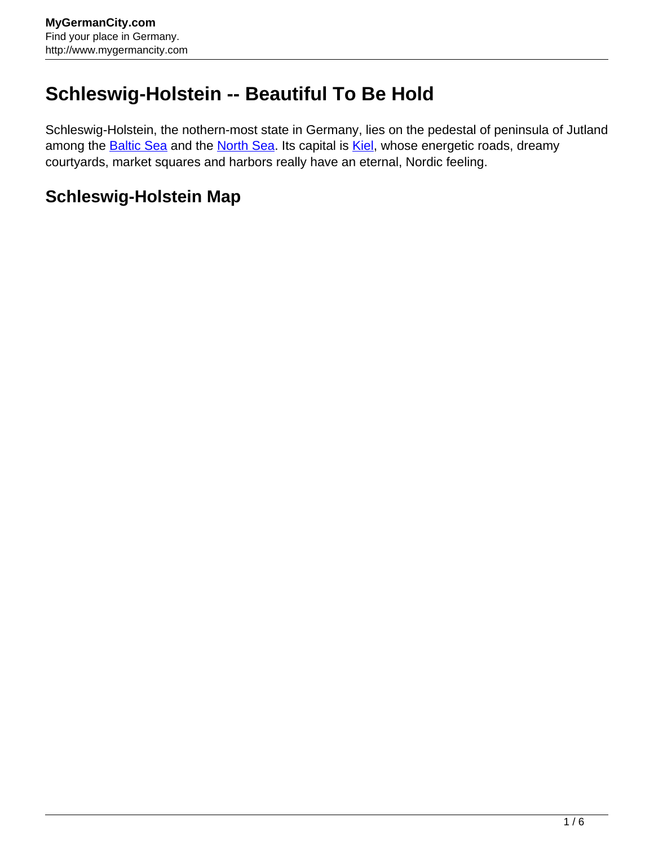## **Schleswig-Holstein -- Beautiful To Be Hold**

Schleswig-Holstein, the nothern-most state in Germany, lies on the pedestal of peninsula of Jutland among the **Baltic Sea** and the [North Sea](http://www.mygermancity.com/north-sea). Its capital is **Kiel**, whose energetic roads, dreamy courtyards, market squares and harbors really have an eternal, Nordic feeling.

## **Schleswig-Holstein Map**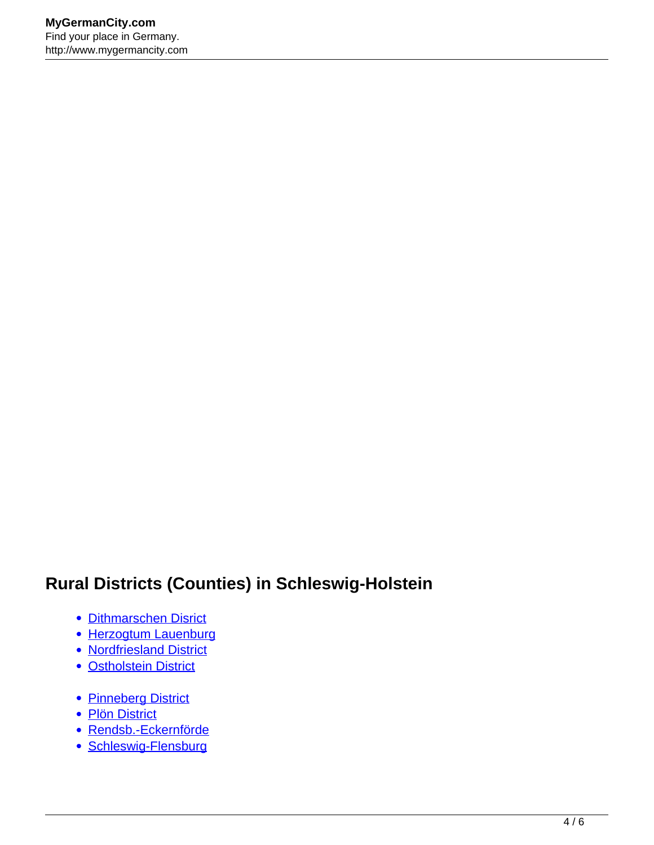## **Rural Districts (Counties) in Schleswig-Holstein**

- [Dithmarschen Disrict](http://www.mygermancity.com/dithmarschen-district)
- [Herzogtum Lauenburg](http://www.mygermancity.com/herzogtum-lauenburg)
- [Nordfriesland District](http://www.mygermancity.com/nordfriesland-district)
- [Ostholstein District](http://www.mygermancity.com/ostholstein-district)
- [Pinneberg District](http://www.mygermancity.com/pinneberg-district)
- [Plön District](http://www.mygermancity.com/ploen-district)
- [Rendsb.-Eckernförde](http://www.mygermancity.com/rendsburg-eckernfoerde-district)
- [Schleswig-Flensburg](http://www.mygermancity.com/schleswig-flensburg-district)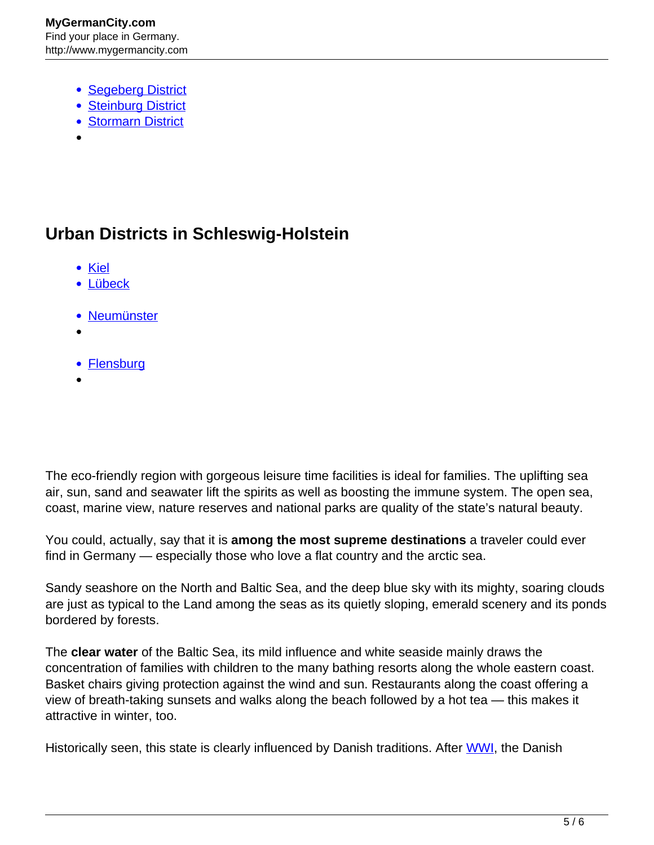- [Segeberg District](http://www.mygermancity.com/segeberg-district)
- [Steinburg District](http://www.mygermancity.com/steinburg-district)
- [Stormarn District](http://www.mygermancity.com/stormarn-district)
- 

## **Urban Districts in Schleswig-Holstein**

- [Kiel](http://www.mygermancity.com/kiel)
- [Lübeck](http://www.mygermancity.com/luebeck)
- [Neumünster](http://www.mygermancity.com/neumuenster)
- 
- **[Flensburg](http://www.mygermancity.com/flensburg)**

The eco-friendly region with gorgeous leisure time facilities is ideal for families. The uplifting sea air, sun, sand and seawater lift the spirits as well as boosting the immune system. The open sea, coast, marine view, nature reserves and national parks are quality of the state's natural beauty.

You could, actually, say that it is **among the most supreme destinations** a traveler could ever find in Germany — especially those who love a flat country and the arctic sea.

Sandy seashore on the North and Baltic Sea, and the deep blue sky with its mighty, soaring clouds are just as typical to the Land among the seas as its quietly sloping, emerald scenery and its ponds bordered by forests.

The **clear water** of the Baltic Sea, its mild influence and white seaside mainly draws the concentration of families with children to the many bathing resorts along the whole eastern coast. Basket chairs giving protection against the wind and sun. Restaurants along the coast offering a view of breath-taking sunsets and walks along the beach followed by a hot tea — this makes it attractive in winter, too.

Historically seen, this state is clearly influenced by Danish traditions. After [WWI,](http://www.mygermancity.com/world-war-i) the Danish